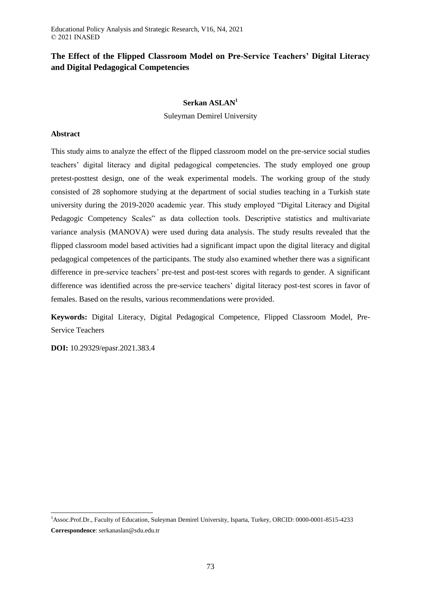# **The Effect of the Flipped Classroom Model on Pre-Service Teachers' Digital Literacy and Digital Pedagogical Competencies**

# **Serkan ASLAN<sup>1</sup>**

Suleyman Demirel University

# **Abstract**

This study aims to analyze the effect of the flipped classroom model on the pre-service social studies teachers' digital literacy and digital pedagogical competencies. The study employed one group pretest-posttest design, one of the weak experimental models. The working group of the study consisted of 28 sophomore studying at the department of social studies teaching in a Turkish state university during the 2019-2020 academic year. This study employed "Digital Literacy and Digital Pedagogic Competency Scales" as data collection tools. Descriptive statistics and multivariate variance analysis (MANOVA) were used during data analysis. The study results revealed that the flipped classroom model based activities had a significant impact upon the digital literacy and digital pedagogical competences of the participants. The study also examined whether there was a significant difference in pre-service teachers' pre-test and post-test scores with regards to gender. A significant difference was identified across the pre-service teachers' digital literacy post-test scores in favor of females. Based on the results, various recommendations were provided.

**Keywords:** Digital Literacy, Digital Pedagogical Competence, Flipped Classroom Model, Pre-Service Teachers

**DOI:** 10.29329/epasr.2021.383.4

 $\overline{a}$ 

<sup>1</sup>Assoc.Prof.Dr., Faculty of Education, Suleyman Demirel University, Isparta, Turkey, ORCID: 0000-0001-8515-4233 **Correspondence**: serkanaslan@sdu.edu.tr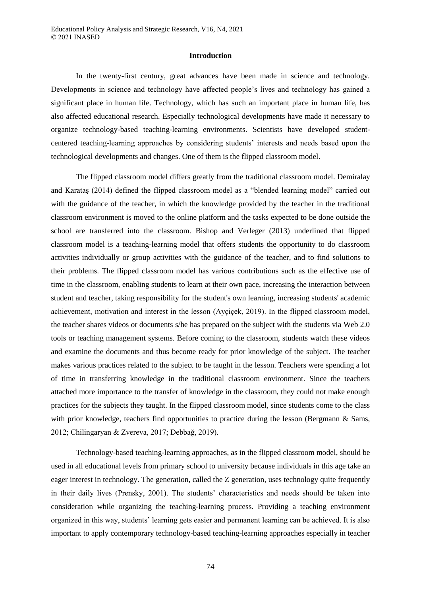#### **Introduction**

In the twenty-first century, great advances have been made in science and technology. Developments in science and technology have affected people's lives and technology has gained a significant place in human life. Technology, which has such an important place in human life, has also affected educational research. Especially technological developments have made it necessary to organize technology-based teaching-learning environments. Scientists have developed studentcentered teaching-learning approaches by considering students' interests and needs based upon the technological developments and changes. One of them is the flipped classroom model.

The flipped classroom model differs greatly from the traditional classroom model. Demiralay and Karataş (2014) defined the flipped classroom model as a "blended learning model" carried out with the guidance of the teacher, in which the knowledge provided by the teacher in the traditional classroom environment is moved to the online platform and the tasks expected to be done outside the school are transferred into the classroom. Bishop and Verleger (2013) underlined that flipped classroom model is a teaching-learning model that offers students the opportunity to do classroom activities individually or group activities with the guidance of the teacher, and to find solutions to their problems. The flipped classroom model has various contributions such as the effective use of time in the classroom, enabling students to learn at their own pace, increasing the interaction between student and teacher, taking responsibility for the student's own learning, increasing students' academic achievement, motivation and interest in the lesson (Ayçiçek, 2019). In the flipped classroom model, the teacher shares videos or documents s/he has prepared on the subject with the students via Web 2.0 tools or teaching management systems. Before coming to the classroom, students watch these videos and examine the documents and thus become ready for prior knowledge of the subject. The teacher makes various practices related to the subject to be taught in the lesson. Teachers were spending a lot of time in transferring knowledge in the traditional classroom environment. Since the teachers attached more importance to the transfer of knowledge in the classroom, they could not make enough practices for the subjects they taught. In the flipped classroom model, since students come to the class with prior knowledge, teachers find opportunities to practice during the lesson (Bergmann & Sams, 2012; Chilingaryan & Zvereva, 2017; Debbağ, 2019).

Technology-based teaching-learning approaches, as in the flipped classroom model, should be used in all educational levels from primary school to university because individuals in this age take an eager interest in technology. The generation, called the Z generation, uses technology quite frequently in their daily lives (Prensky, 2001). The students' characteristics and needs should be taken into consideration while organizing the teaching-learning process. Providing a teaching environment organized in this way, students' learning gets easier and permanent learning can be achieved. It is also important to apply contemporary technology-based teaching-learning approaches especially in teacher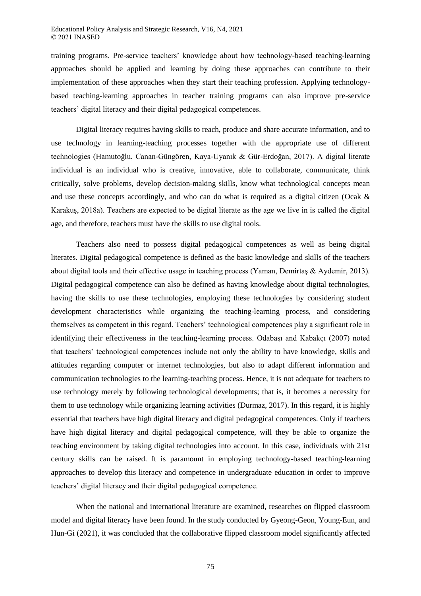training programs. Pre-service teachers' knowledge about how technology-based teaching-learning approaches should be applied and learning by doing these approaches can contribute to their implementation of these approaches when they start their teaching profession. Applying technologybased teaching-learning approaches in teacher training programs can also improve pre-service teachers' digital literacy and their digital pedagogical competences.

Digital literacy requires having skills to reach, produce and share accurate information, and to use technology in learning-teaching processes together with the appropriate use of different technologies (Hamutoğlu, Canan-Güngören, Kaya-Uyanık & Gür-Erdoğan, 2017). A digital literate individual is an individual who is creative, innovative, able to collaborate, communicate, think critically, solve problems, develop decision-making skills, know what technological concepts mean and use these concepts accordingly, and who can do what is required as a digital citizen (Ocak & Karakuş, 2018a). Teachers are expected to be digital literate as the age we live in is called the digital age, and therefore, teachers must have the skills to use digital tools.

Teachers also need to possess digital pedagogical competences as well as being digital literates. Digital pedagogical competence is defined as the basic knowledge and skills of the teachers about digital tools and their effective usage in teaching process (Yaman, Demirtaş & Aydemir, 2013). Digital pedagogical competence can also be defined as having knowledge about digital technologies, having the skills to use these technologies, employing these technologies by considering student development characteristics while organizing the teaching-learning process, and considering themselves as competent in this regard. Teachers' technological competences play a significant role in identifying their effectiveness in the teaching-learning process. Odabaşı and Kabakçı (2007) noted that teachers' technological competences include not only the ability to have knowledge, skills and attitudes regarding computer or internet technologies, but also to adapt different information and communication technologies to the learning-teaching process. Hence, it is not adequate for teachers to use technology merely by following technological developments; that is, it becomes a necessity for them to use technology while organizing learning activities (Durmaz, 2017). In this regard, it is highly essential that teachers have high digital literacy and digital pedagogical competences. Only if teachers have high digital literacy and digital pedagogical competence, will they be able to organize the teaching environment by taking digital technologies into account. In this case, individuals with 21st century skills can be raised. It is paramount in employing technology-based teaching-learning approaches to develop this literacy and competence in undergraduate education in order to improve teachers' digital literacy and their digital pedagogical competence.

When the national and international literature are examined, researches on flipped classroom model and digital literacy have been found. In the study conducted by Gyeong-Geon, Young-Eun, and Hun-Gi (2021), it was concluded that the collaborative flipped classroom model significantly affected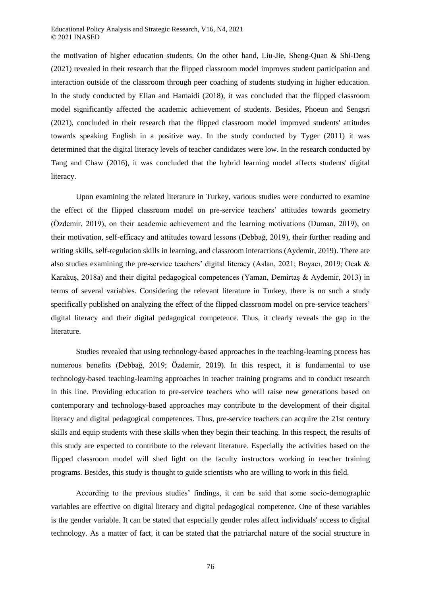Educational Policy Analysis and Strategic Research, V16, N4, 2021 © 2021 INASED

the motivation of higher education students. On the other hand, Liu-Jie, Sheng-Quan & Shi-Deng (2021) revealed in their research that the flipped classroom model improves student participation and interaction outside of the classroom through peer coaching of students studying in higher education. In the study conducted by Elian and Hamaidi (2018), it was concluded that the flipped classroom model significantly affected the academic achievement of students. Besides, Phoeun and Sengsri (2021), concluded in their research that the flipped classroom model improved students' attitudes towards speaking English in a positive way. In the study conducted by Tyger (2011) it was determined that the digital literacy levels of teacher candidates were low. In the research conducted by Tang and Chaw (2016), it was concluded that the hybrid learning model affects students' digital literacy.

Upon examining the related literature in Turkey, various studies were conducted to examine the effect of the flipped classroom model on pre-service teachers' attitudes towards geometry (Özdemir, 2019), on their academic achievement and the learning motivations (Duman, 2019), on their motivation, self-efficacy and attitudes toward lessons (Debbağ, 2019), their further reading and writing skills, self-regulation skills in learning, and classroom interactions (Aydemir, 2019). There are also studies examining the pre-service teachers' digital literacy (Aslan, 2021; Boyacı, 2019; Ocak & Karakuş, 2018a) and their digital pedagogical competences (Yaman, Demirtaş & Aydemir, 2013) in terms of several variables. Considering the relevant literature in Turkey, there is no such a study specifically published on analyzing the effect of the flipped classroom model on pre-service teachers' digital literacy and their digital pedagogical competence. Thus, it clearly reveals the gap in the literature.

Studies revealed that using technology-based approaches in the teaching-learning process has numerous benefits (Debbağ, 2019; Özdemir, 2019). In this respect, it is fundamental to use technology-based teaching-learning approaches in teacher training programs and to conduct research in this line. Providing education to pre-service teachers who will raise new generations based on contemporary and technology-based approaches may contribute to the development of their digital literacy and digital pedagogical competences. Thus, pre-service teachers can acquire the 21st century skills and equip students with these skills when they begin their teaching. In this respect, the results of this study are expected to contribute to the relevant literature. Especially the activities based on the flipped classroom model will shed light on the faculty instructors working in teacher training programs. Besides, this study is thought to guide scientists who are willing to work in this field.

According to the previous studies' findings, it can be said that some socio-demographic variables are effective on digital literacy and digital pedagogical competence. One of these variables is the gender variable. It can be stated that especially gender roles affect individuals' access to digital technology. As a matter of fact, it can be stated that the patriarchal nature of the social structure in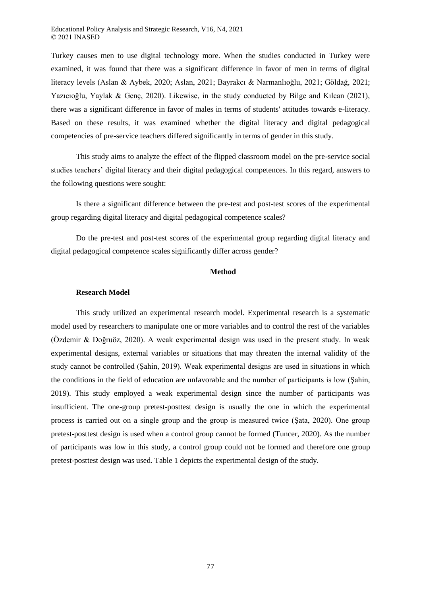Turkey causes men to use digital technology more. When the studies conducted in Turkey were examined, it was found that there was a significant difference in favor of men in terms of digital literacy levels (Aslan & Aybek, 2020; Aslan, 2021; Bayrakcı & Narmanlıoğlu, 2021; Göldağ, 2021; Yazıcıoğlu, Yaylak & Genç, 2020). Likewise, in the study conducted by Bilge and Kılcan (2021), there was a significant difference in favor of males in terms of students' attitudes towards e-literacy. Based on these results, it was examined whether the digital literacy and digital pedagogical competencies of pre-service teachers differed significantly in terms of gender in this study.

This study aims to analyze the effect of the flipped classroom model on the pre-service social studies teachers' digital literacy and their digital pedagogical competences. In this regard, answers to the following questions were sought:

Is there a significant difference between the pre-test and post-test scores of the experimental group regarding digital literacy and digital pedagogical competence scales?

Do the pre-test and post-test scores of the experimental group regarding digital literacy and digital pedagogical competence scales significantly differ across gender?

## **Method**

## **Research Model**

This study utilized an experimental research model. Experimental research is a systematic model used by researchers to manipulate one or more variables and to control the rest of the variables (Özdemir & Doğruöz, 2020). A weak experimental design was used in the present study. In weak experimental designs, external variables or situations that may threaten the internal validity of the study cannot be controlled (Şahin, 2019). Weak experimental designs are used in situations in which the conditions in the field of education are unfavorable and the number of participants is low (Şahin, 2019). This study employed a weak experimental design since the number of participants was insufficient. The one-group pretest-posttest design is usually the one in which the experimental process is carried out on a single group and the group is measured twice (Şata, 2020). One group pretest-posttest design is used when a control group cannot be formed (Tuncer, 2020). As the number of participants was low in this study, a control group could not be formed and therefore one group pretest-posttest design was used. Table 1 depicts the experimental design of the study.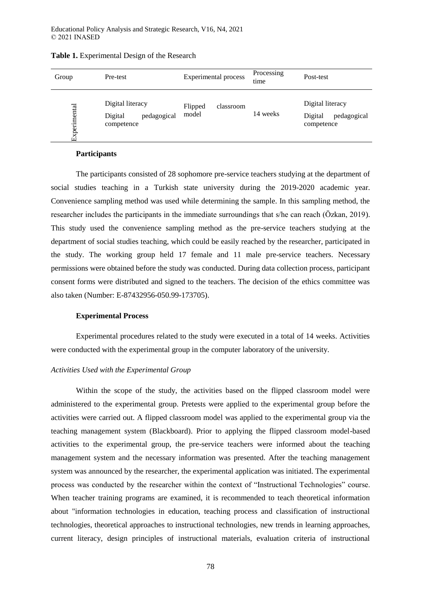| Group       | Pre-test                                                 | Experimental process          | Processing<br>time | Post-test                                                |  |  |
|-------------|----------------------------------------------------------|-------------------------------|--------------------|----------------------------------------------------------|--|--|
| xperimental | Digital literacy<br>pedagogical<br>Digital<br>competence | Flipped<br>classroom<br>model | 14 weeks           | Digital literacy<br>Digital<br>pedagogical<br>competence |  |  |

## **Table 1.** Experimental Design of the Research

## **Participants**

The participants consisted of 28 sophomore pre-service teachers studying at the department of social studies teaching in a Turkish state university during the 2019-2020 academic year. Convenience sampling method was used while determining the sample. In this sampling method, the researcher includes the participants in the immediate surroundings that s/he can reach (Özkan, 2019). This study used the convenience sampling method as the pre-service teachers studying at the department of social studies teaching, which could be easily reached by the researcher, participated in the study. The working group held 17 female and 11 male pre-service teachers. Necessary permissions were obtained before the study was conducted. During data collection process, participant consent forms were distributed and signed to the teachers. The decision of the ethics committee was also taken (Number: E-87432956-050.99-173705).

## **Experimental Process**

Experimental procedures related to the study were executed in a total of 14 weeks. Activities were conducted with the experimental group in the computer laboratory of the university.

# *Activities Used with the Experimental Group*

Within the scope of the study, the activities based on the flipped classroom model were administered to the experimental group. Pretests were applied to the experimental group before the activities were carried out. A flipped classroom model was applied to the experimental group via the teaching management system (Blackboard). Prior to applying the flipped classroom model-based activities to the experimental group, the pre-service teachers were informed about the teaching management system and the necessary information was presented. After the teaching management system was announced by the researcher, the experimental application was initiated. The experimental process was conducted by the researcher within the context of "Instructional Technologies" course. When teacher training programs are examined, it is recommended to teach theoretical information about "information technologies in education, teaching process and classification of instructional technologies, theoretical approaches to instructional technologies, new trends in learning approaches, current literacy, design principles of instructional materials, evaluation criteria of instructional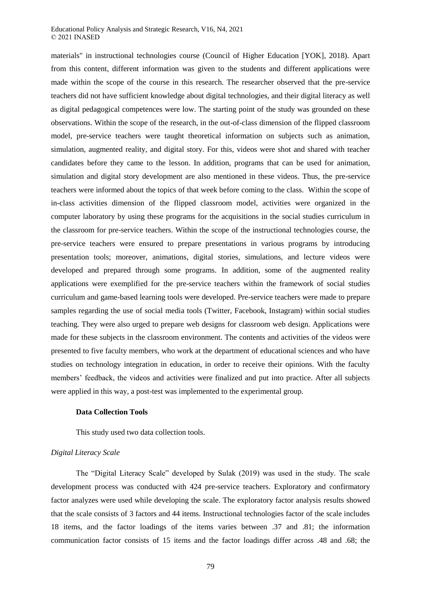#### Educational Policy Analysis and Strategic Research, V16, N4, 2021 © 2021 INASED

materials" in instructional technologies course (Council of Higher Education [YOK], 2018). Apart from this content, different information was given to the students and different applications were made within the scope of the course in this research. The researcher observed that the pre-service teachers did not have sufficient knowledge about digital technologies, and their digital literacy as well as digital pedagogical competences were low. The starting point of the study was grounded on these observations. Within the scope of the research, in the out-of-class dimension of the flipped classroom model, pre-service teachers were taught theoretical information on subjects such as animation, simulation, augmented reality, and digital story. For this, videos were shot and shared with teacher candidates before they came to the lesson. In addition, programs that can be used for animation, simulation and digital story development are also mentioned in these videos. Thus, the pre-service teachers were informed about the topics of that week before coming to the class. Within the scope of in-class activities dimension of the flipped classroom model, activities were organized in the computer laboratory by using these programs for the acquisitions in the social studies curriculum in the classroom for pre-service teachers. Within the scope of the instructional technologies course, the pre-service teachers were ensured to prepare presentations in various programs by introducing presentation tools; moreover, animations, digital stories, simulations, and lecture videos were developed and prepared through some programs. In addition, some of the augmented reality applications were exemplified for the pre-service teachers within the framework of social studies curriculum and game-based learning tools were developed. Pre-service teachers were made to prepare samples regarding the use of social media tools (Twitter, Facebook, Instagram) within social studies teaching. They were also urged to prepare web designs for classroom web design. Applications were made for these subjects in the classroom environment. The contents and activities of the videos were presented to five faculty members, who work at the department of educational sciences and who have studies on technology integration in education, in order to receive their opinions. With the faculty members' feedback, the videos and activities were finalized and put into practice. After all subjects were applied in this way, a post-test was implemented to the experimental group.

## **Data Collection Tools**

This study used two data collection tools.

## *Digital Literacy Scale*

The "Digital Literacy Scale" developed by Sulak (2019) was used in the study. The scale development process was conducted with 424 pre-service teachers. Exploratory and confirmatory factor analyzes were used while developing the scale. The exploratory factor analysis results showed that the scale consists of 3 factors and 44 items. Instructional technologies factor of the scale includes 18 items, and the factor loadings of the items varies between .37 and .81; the information communication factor consists of 15 items and the factor loadings differ across .48 and .68; the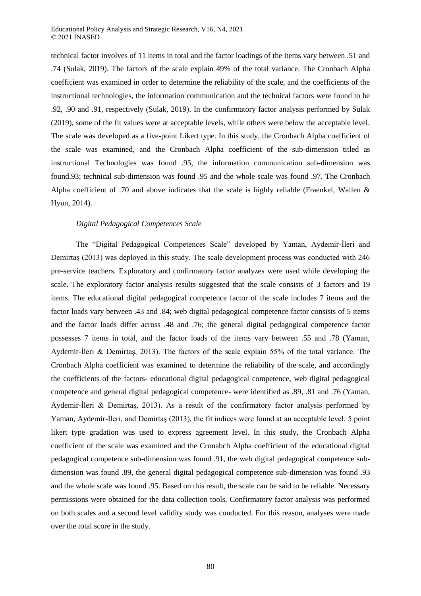technical factor involves of 11 items in total and the factor loadings of the items vary between .51 and .74 (Sulak, 2019). The factors of the scale explain 49% of the total variance. The Cronbach Alpha coefficient was examined in order to determine the reliability of the scale, and the coefficients of the instructional technologies, the information communication and the technical factors were found to be .92, .90 and .91, respectively (Sulak, 2019). In the confirmatory factor analysis performed by Sulak (2019), some of the fit values were at acceptable levels, while others were below the acceptable level. The scale was developed as a five-point Likert type. In this study, the Cronbach Alpha coefficient of the scale was examined, and the Cronbach Alpha coefficient of the sub-dimension titled as instructional Technologies was found .95, the information communication sub-dimension was found.93; technical sub-dimension was found .95 and the whole scale was found .97. The Cronbach Alpha coefficient of .70 and above indicates that the scale is highly reliable (Fraenkel, Wallen & Hyun, 2014).

## *Digital Pedagogical Competences Scale*

The "Digital Pedagogical Competences Scale" developed by Yaman, Aydemir-İleri and Demirtaş (2013) was deployed in this study. The scale development process was conducted with 246 pre-service teachers. Exploratory and confirmatory factor analyzes were used while developing the scale. The exploratory factor analysis results suggested that the scale consists of 3 factors and 19 items. The educational digital pedagogical competence factor of the scale includes 7 items and the factor loads vary between .43 and .84; web digital pedagogical competence factor consists of 5 items and the factor loads differ across .48 and .76; the general digital pedagogical competence factor possesses 7 items in total, and the factor loads of the items vary between .55 and .78 (Yaman, Aydemir-İleri & Demirtaş, 2013). The factors of the scale explain 55% of the total variance. The Cronbach Alpha coefficient was examined to determine the reliability of the scale, and accordingly the coefficients of the factors- educational digital pedagogical competence, web digital pedagogical competence and general digital pedagogical competence- were identified as .89, .81 and .76 (Yaman, Aydemir-İleri & Demirtaş, 2013). As a result of the confirmatory factor analysis performed by Yaman, Aydemir-İleri, and Demirtaş (2013), the fit indices were found at an acceptable level. 5 point likert type gradation was used to express agreement level. In this study, the Cronbach Alpha coefficient of the scale was examined and the Cronabch Alpha coefficient of the educational digital pedagogical competence sub-dimension was found .91, the web digital pedagogical competence subdimension was found .89, the general digital pedagogical competence sub-dimension was found .93 and the whole scale was found .95. Based on this result, the scale can be said to be reliable. Necessary permissions were obtained for the data collection tools. Confirmatory factor analysis was performed on both scales and a second level validity study was conducted. For this reason, analyses were made over the total score in the study.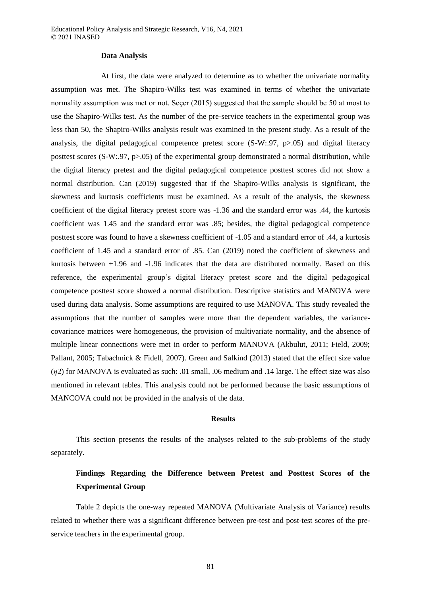#### **Data Analysis**

At first, the data were analyzed to determine as to whether the univariate normality assumption was met. The Shapiro-Wilks test was examined in terms of whether the univariate normality assumption was met or not. Seçer (2015) suggested that the sample should be 50 at most to use the Shapiro-Wilks test. As the number of the pre-service teachers in the experimental group was less than 50, the Shapiro-Wilks analysis result was examined in the present study. As a result of the analysis, the digital pedagogical competence pretest score (S-W:.97, p>.05) and digital literacy posttest scores  $(S-W:97, p>05)$  of the experimental group demonstrated a normal distribution, while the digital literacy pretest and the digital pedagogical competence posttest scores did not show a normal distribution. Can (2019) suggested that if the Shapiro-Wilks analysis is significant, the skewness and kurtosis coefficients must be examined. As a result of the analysis, the skewness coefficient of the digital literacy pretest score was -1.36 and the standard error was .44, the kurtosis coefficient was 1.45 and the standard error was .85; besides, the digital pedagogical competence posttest score was found to have a skewness coefficient of -1.05 and a standard error of .44, a kurtosis coefficient of 1.45 and a standard error of .85. Can (2019) noted the coefficient of skewness and kurtosis between +1.96 and -1.96 indicates that the data are distributed normally. Based on this reference, the experimental group's digital literacy pretest score and the digital pedagogical competence posttest score showed a normal distribution. Descriptive statistics and MANOVA were used during data analysis. Some assumptions are required to use MANOVA. This study revealed the assumptions that the number of samples were more than the dependent variables, the variancecovariance matrices were homogeneous, the provision of multivariate normality, and the absence of multiple linear connections were met in order to perform MANOVA (Akbulut, 2011; Field, 2009; Pallant, 2005; Tabachnick & Fidell, 2007). Green and Salkind (2013) stated that the effect size value (*ƞ*2) for MANOVA is evaluated as such: .01 small, .06 medium and .14 large. The effect size was also mentioned in relevant tables. This analysis could not be performed because the basic assumptions of MANCOVA could not be provided in the analysis of the data.

#### **Results**

This section presents the results of the analyses related to the sub-problems of the study separately.

# **Findings Regarding the Difference between Pretest and Posttest Scores of the Experimental Group**

Table 2 depicts the one-way repeated MANOVA (Multivariate Analysis of Variance) results related to whether there was a significant difference between pre-test and post-test scores of the preservice teachers in the experimental group.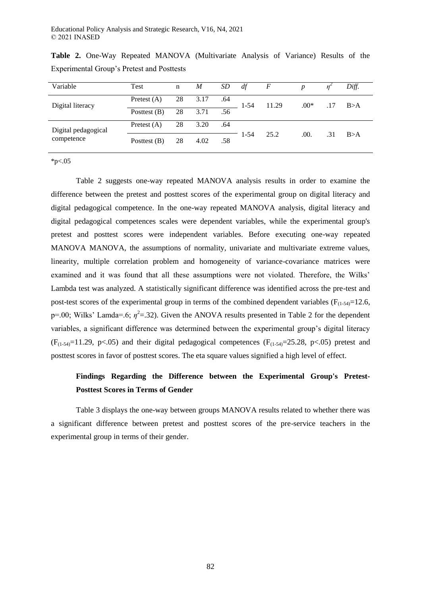| Variable            | Test           | n  | $\boldsymbol{M}$ | SD  | df       | $\boldsymbol{F}$ | p      |     | Diff. |
|---------------------|----------------|----|------------------|-----|----------|------------------|--------|-----|-------|
| Digital literacy    | Pretest $(A)$  | 28 | 3.17             | .64 | $1 - 54$ | 11.29            | $.00*$ | .17 | B>A   |
|                     | Posttest $(B)$ | 28 | 3.71             | .56 |          |                  |        |     |       |
| Digital pedagogical | Pretest $(A)$  | 28 | 3.20             | .64 | 1-54     | 25.2             | .00.   | .31 | B>A   |
| competence          | Posttest $(B)$ | 28 | 4.02             | .58 |          |                  |        |     |       |

**Table 2.** One-Way Repeated MANOVA (Multivariate Analysis of Variance) Results of the Experimental Group's Pretest and Posttests

 $*_{p<.05}$ 

Table 2 suggests one-way repeated MANOVA analysis results in order to examine the difference between the pretest and posttest scores of the experimental group on digital literacy and digital pedagogical competence. In the one-way repeated MANOVA analysis, digital literacy and digital pedagogical competences scales were dependent variables, while the experimental group's pretest and posttest scores were independent variables. Before executing one-way repeated MANOVA MANOVA, the assumptions of normality, univariate and multivariate extreme values, linearity, multiple correlation problem and homogeneity of variance-covariance matrices were examined and it was found that all these assumptions were not violated. Therefore, the Wilks' Lambda test was analyzed. A statistically significant difference was identified across the pre-test and post-test scores of the experimental group in terms of the combined dependent variables  $(F_{(1-54)}=12.6,$  $p=0.0$ ; Wilks' Lamda=.6;  $\eta^2$ =.32). Given the ANOVA results presented in Table 2 for the dependent variables, a significant difference was determined between the experimental group's digital literacy  $(F_{(1-54)}=11.29, p<.05)$  and their digital pedagogical competences  $(F_{(1-54)}=25.28, p<.05)$  pretest and posttest scores in favor of posttest scores. The eta square values signified a high level of effect.

# **Findings Regarding the Difference between the Experimental Group's Pretest-Posttest Scores in Terms of Gender**

Table 3 displays the one-way between groups MANOVA results related to whether there was a significant difference between pretest and posttest scores of the pre-service teachers in the experimental group in terms of their gender.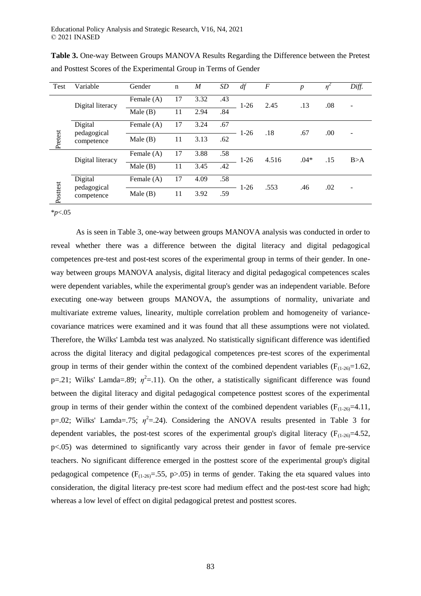| Test     | Variable                             | Gender     | $\mathbf n$ | M    | <b>SD</b> | df     | $\boldsymbol{F}$ | $\boldsymbol{p}$ | η   | Diff. |
|----------|--------------------------------------|------------|-------------|------|-----------|--------|------------------|------------------|-----|-------|
| Pretest  | Digital literacy                     | Female (A) | 17          | 3.32 | .43       | $1-26$ | 2.45             | .13              | .08 |       |
|          |                                      | Male(B)    | 11          | 2.94 | .84       |        |                  |                  |     |       |
|          | Digital<br>pedagogical<br>competence | Female (A) | 17          | 3.24 | .67       | $1-26$ | .18              | .67              | .00 | ۰     |
|          |                                      | Male $(B)$ | 11          | 3.13 | .62       |        |                  |                  |     |       |
| Posttest | Digital literacy                     | Female (A) | 17          | 3.88 | .58       | $1-26$ | 4.516            | $.04*$           | .15 | B > A |
|          |                                      | Male(B)    | 11          | 3.45 | .42       |        |                  |                  |     |       |
|          | Digital<br>pedagogical<br>competence | Female (A) | 17          | 4.09 | .58       | $1-26$ | .553             | .46              | .02 |       |
|          |                                      | Male $(B)$ | 11          | 3.92 | .59       |        |                  |                  |     |       |

**Table 3.** One-way Between Groups MANOVA Results Regarding the Difference between the Pretest and Posttest Scores of the Experimental Group in Terms of Gender

\**p*<.05

As is seen in Table 3, one-way between groups MANOVA analysis was conducted in order to reveal whether there was a difference between the digital literacy and digital pedagogical competences pre-test and post-test scores of the experimental group in terms of their gender. In oneway between groups MANOVA analysis, digital literacy and digital pedagogical competences scales were dependent variables, while the experimental group's gender was an independent variable. Before executing one-way between groups MANOVA, the assumptions of normality, univariate and multivariate extreme values, linearity, multiple correlation problem and homogeneity of variancecovariance matrices were examined and it was found that all these assumptions were not violated. Therefore, the Wilks' Lambda test was analyzed. No statistically significant difference was identified across the digital literacy and digital pedagogical competences pre-test scores of the experimental group in terms of their gender within the context of the combined dependent variables ( $F_{(1-26)}=1.62$ , p=.21; Wilks' Lamda=.89;  $\eta^2$ =.11). On the other, a statistically significant difference was found between the digital literacy and digital pedagogical competence posttest scores of the experimental group in terms of their gender within the context of the combined dependent variables ( $F_{(1,26)}=4.11$ , p=.02; Wilks' Lamda=.75;  $\eta^2$ =.24). Considering the ANOVA results presented in Table 3 for dependent variables, the post-test scores of the experimental group's digital literacy ( $F_{(1-26)}=4.52$ , p<.05) was determined to significantly vary across their gender in favor of female pre-service teachers. No significant difference emerged in the posttest score of the experimental group's digital pedagogical competence ( $F_{(1-26)} = .55$ , p $> .05$ ) in terms of gender. Taking the eta squared values into consideration, the digital literacy pre-test score had medium effect and the post-test score had high; whereas a low level of effect on digital pedagogical pretest and posttest scores.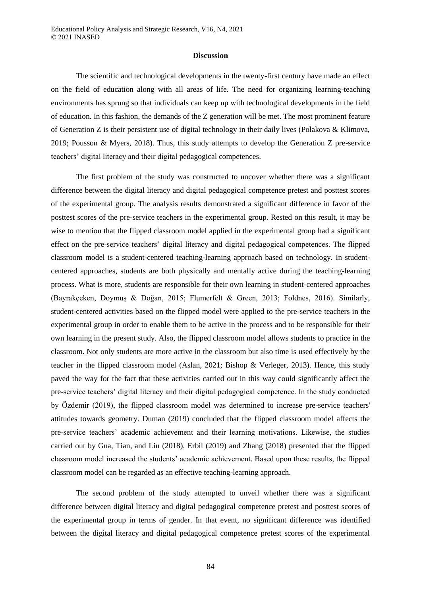#### **Discussion**

The scientific and technological developments in the twenty-first century have made an effect on the field of education along with all areas of life. The need for organizing learning-teaching environments has sprung so that individuals can keep up with technological developments in the field of education. In this fashion, the demands of the Z generation will be met. The most prominent feature of Generation Z is their persistent use of digital technology in their daily lives (Polakova & Klimova, 2019; Pousson & Myers, 2018). Thus, this study attempts to develop the Generation Z pre-service teachers' digital literacy and their digital pedagogical competences.

The first problem of the study was constructed to uncover whether there was a significant difference between the digital literacy and digital pedagogical competence pretest and posttest scores of the experimental group. The analysis results demonstrated a significant difference in favor of the posttest scores of the pre-service teachers in the experimental group. Rested on this result, it may be wise to mention that the flipped classroom model applied in the experimental group had a significant effect on the pre-service teachers' digital literacy and digital pedagogical competences. The flipped classroom model is a student-centered teaching-learning approach based on technology. In studentcentered approaches, students are both physically and mentally active during the teaching-learning process. What is more, students are responsible for their own learning in student-centered approaches (Bayrakçeken, Doymuş & Doğan, 2015; Flumerfelt & Green, 2013; Foldnes, 2016). Similarly, student-centered activities based on the flipped model were applied to the pre-service teachers in the experimental group in order to enable them to be active in the process and to be responsible for their own learning in the present study. Also, the flipped classroom model allows students to practice in the classroom. Not only students are more active in the classroom but also time is used effectively by the teacher in the flipped classroom model (Aslan, 2021; Bishop & Verleger, 2013). Hence, this study paved the way for the fact that these activities carried out in this way could significantly affect the pre-service teachers' digital literacy and their digital pedagogical competence. In the study conducted by Özdemir (2019), the flipped classroom model was determined to increase pre-service teachers' attitudes towards geometry. Duman (2019) concluded that the flipped classroom model affects the pre-service teachers' academic achievement and their learning motivations. Likewise, the studies carried out by Gua, Tian, and Liu (2018), Erbil (2019) and Zhang (2018) presented that the flipped classroom model increased the students' academic achievement. Based upon these results, the flipped classroom model can be regarded as an effective teaching-learning approach.

The second problem of the study attempted to unveil whether there was a significant difference between digital literacy and digital pedagogical competence pretest and posttest scores of the experimental group in terms of gender. In that event, no significant difference was identified between the digital literacy and digital pedagogical competence pretest scores of the experimental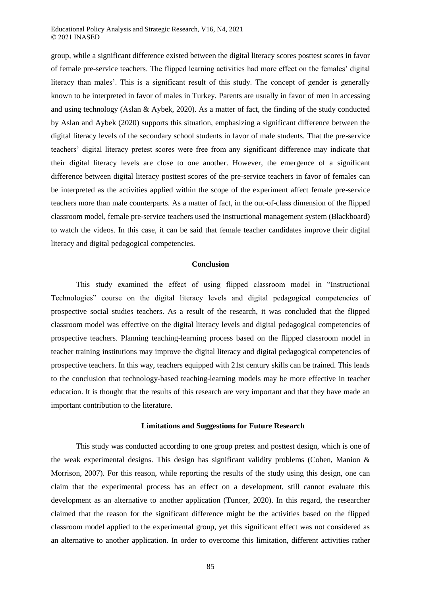Educational Policy Analysis and Strategic Research, V16, N4, 2021 © 2021 INASED

group, while a significant difference existed between the digital literacy scores posttest scores in favor of female pre-service teachers. The flipped learning activities had more effect on the females' digital literacy than males'. This is a significant result of this study. The concept of gender is generally known to be interpreted in favor of males in Turkey. Parents are usually in favor of men in accessing and using technology (Aslan & Aybek, 2020). As a matter of fact, the finding of the study conducted by Aslan and Aybek (2020) supports this situation, emphasizing a significant difference between the digital literacy levels of the secondary school students in favor of male students. That the pre-service teachers' digital literacy pretest scores were free from any significant difference may indicate that their digital literacy levels are close to one another. However, the emergence of a significant difference between digital literacy posttest scores of the pre-service teachers in favor of females can be interpreted as the activities applied within the scope of the experiment affect female pre-service teachers more than male counterparts. As a matter of fact, in the out-of-class dimension of the flipped classroom model, female pre-service teachers used the instructional management system (Blackboard) to watch the videos. In this case, it can be said that female teacher candidates improve their digital literacy and digital pedagogical competencies.

#### **Conclusion**

This study examined the effect of using flipped classroom model in "Instructional Technologies" course on the digital literacy levels and digital pedagogical competencies of prospective social studies teachers. As a result of the research, it was concluded that the flipped classroom model was effective on the digital literacy levels and digital pedagogical competencies of prospective teachers. Planning teaching-learning process based on the flipped classroom model in teacher training institutions may improve the digital literacy and digital pedagogical competencies of prospective teachers. In this way, teachers equipped with 21st century skills can be trained. This leads to the conclusion that technology-based teaching-learning models may be more effective in teacher education. It is thought that the results of this research are very important and that they have made an important contribution to the literature.

#### **Limitations and Suggestions for Future Research**

This study was conducted according to one group pretest and posttest design, which is one of the weak experimental designs. This design has significant validity problems (Cohen, Manion  $\&$ Morrison, 2007). For this reason, while reporting the results of the study using this design, one can claim that the experimental process has an effect on a development, still cannot evaluate this development as an alternative to another application (Tuncer, 2020). In this regard, the researcher claimed that the reason for the significant difference might be the activities based on the flipped classroom model applied to the experimental group, yet this significant effect was not considered as an alternative to another application. In order to overcome this limitation, different activities rather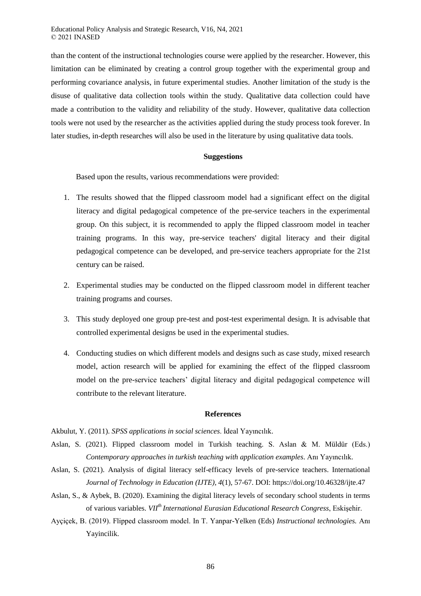than the content of the instructional technologies course were applied by the researcher. However, this limitation can be eliminated by creating a control group together with the experimental group and performing covariance analysis, in future experimental studies. Another limitation of the study is the disuse of qualitative data collection tools within the study. Qualitative data collection could have made a contribution to the validity and reliability of the study. However, qualitative data collection tools were not used by the researcher as the activities applied during the study process took forever. In later studies, in-depth researches will also be used in the literature by using qualitative data tools.

## **Suggestions**

Based upon the results, various recommendations were provided:

- 1. The results showed that the flipped classroom model had a significant effect on the digital literacy and digital pedagogical competence of the pre-service teachers in the experimental group. On this subject, it is recommended to apply the flipped classroom model in teacher training programs. In this way, pre-service teachers' digital literacy and their digital pedagogical competence can be developed, and pre-service teachers appropriate for the 21st century can be raised.
- 2. Experimental studies may be conducted on the flipped classroom model in different teacher training programs and courses.
- 3. This study deployed one group pre-test and post-test experimental design. It is advisable that controlled experimental designs be used in the experimental studies.
- 4. Conducting studies on which different models and designs such as case study, mixed research model, action research will be applied for examining the effect of the flipped classroom model on the pre-service teachers' digital literacy and digital pedagogical competence will contribute to the relevant literature.

## **References**

Akbulut, Y. (2011). *SPSS applications in social sciences*. İdeal Yayıncılık.

- Aslan, S. (2021). Flipped classroom model in Turkish teaching. S. Aslan & M. Müldür (Eds.) *Contemporary approaches in turkish teaching with application examples*. Anı Yayıncılık.
- Aslan, S. (2021). Analysis of digital literacy self-efficacy levels of pre-service teachers. International *Journal of Technology in Education (IJTE), 4*(1), 57-67. DOI: https://doi.org/10.46328/ijte.47
- Aslan, S., & Aybek, B. (2020). Examining the digital literacy levels of secondary school students in terms of various variables. *VIIth International Eurasian Educational Research Congress*, Eskişehir.
- Ayçiçek, B. (2019). Flipped classroom model. In T. Yanpar-Yelken (Eds) *Instructional technologies.* Anı Yayincilik.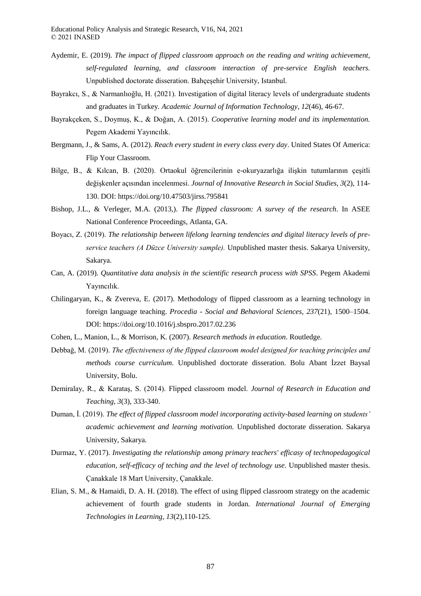- Aydemir, E. (2019). *The impact of flipped classroom approach on the reading and writing achievement, self-regulated learning, and classroom interaction of pre-service English teachers.* Unpublished doctorate disseration. Bahçeşehir University, Istanbul.
- Bayrakcı, S., & Narmanlıoğlu, H. (2021). Investigation of digital literacy levels of undergraduate students and graduates in Turkey*. Academic Journal of Information Technology, 12*(46), 46-67.
- Bayrakçeken, S., Doymuş, K., & Doğan, A. (2015). *Cooperative learning model and its implementation.* Pegem Akademi Yayıncılık.
- Bergmann, J., & Sams, A. (2012). *Reach every student in every class every day*. United States Of America: Flip Your Classroom.
- Bilge, B., & Kılcan, B. (2020). Ortaokul öğrencilerinin e-okuryazarlığa ilişkin tutumlarının çeşitli değişkenler açısından incelenmesi. *Journal of Innovative Research in Social Studies, 3*(2), 114- 130. DOI: https://doi.org/10.47503/jirss.795841
- Bishop, J.L., & Verleger, M.A. (2013,). *The flipped classroom: A survey of the research*. In ASEE National Conference Proceedings, Atlanta, GA.
- Boyacı, Z. (2019). *The relationship between lifelong learning tendencies and digital literacy levels of preservice teachers (A Düzce University sample).* Unpublished master thesis. Sakarya University, Sakarya.
- Can, A. (2019). *Quantitative data analysis in the scientific research process with SPSS*. Pegem Akademi Yayıncılık.
- Chilingaryan, K., & Zvereva, E. (2017). Methodology of flipped classroom as a learning technology in foreign language teaching. *Procedia - Social and Behavioral Sciences, 237*(21), 1500–1504. DOI: https://doi.org/10.1016/j.sbspro.2017.02.236
- Cohen, L., Manion, L., & Morrison, K. (2007). *Research methods in education*. Routledge.
- Debbağ, M. (2019). *The effectıiveness of the flipped classroom model designed for teaching principles and methods course curriculum*. Unpublished doctorate disseration. Bolu Abant İzzet Baysal University, Bolu.
- Demiralay, R., & Karataş, S. (2014). Flipped classroom model. *Journal of Research in Education and Teaching, 3*(3), 333-340.
- Duman, İ. (2019). *The effect of flipped classroom model incorporating activity-based learning on students' academic achievement and learning motivation.* Unpublished doctorate disseration. Sakarya University, Sakarya.
- Durmaz, Y. (2017). *Investigating the relationship among primary teachers' efficasy of technopedagogical education, self-efficacy of teching and the level of technology use*. Unpublished master thesis. Çanakkale 18 Mart University, Çanakkale.
- Elian, S. M., & Hamaidi, D. A. H. (2018). The effect of using flipped classroom strategy on the academic achievement of fourth grade students in Jordan*. International Journal of Emerging Technologies in Learning, 13*(2),110-125.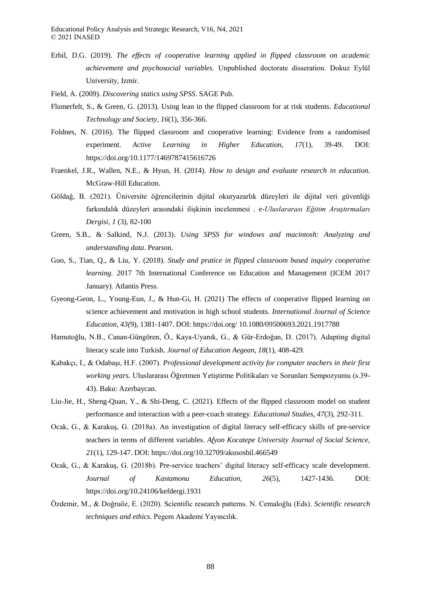- Erbil, D.G. (2019). *The effects of cooperative learning applied in flipped classroom on academic achievement and psychosocial variables*. Unpublished doctorate disseration. Dokuz Eylül University, Izmir.
- Field, A. (2009). *Discovering statics using SPSS*. SAGE Pub.
- Flumerfelt, S., & Green, G. (2013). Using lean in the flipped classroom for at risk students. *Educational Technology and Society, 16*(1), 356-366.
- Foldnes, N. (2016). The flipped classroom and cooperative learning: Evidence from a randomised experiment. *Active Learning in Higher Education, 17*(1), 39-49. DOI: https://doi.org/10.1177/1469787415616726
- Fraenkel, J.R., Wallen, N.E., & Hyun, H. (2014). *How to design and evaluate research in education.*  McGraw-Hill Education.
- Göldağ, B. (2021). Üniversite öğrencilerinin dijital okuryazarlık düzeyleri ile dijital veri güvenliği farkındalık düzeyleri arasındaki ilişkinin incelenmesi *. e-Uluslararası Eğitim Araştırmaları Dergisi, 1* (3), 82-100
- Green, S.B., & Salkind, N.J. (2013). *Using SPSS for windows and macintosh: Analyzing and understanding data.* Pearson.
- Guo, S., Tian, Q., & Liu, Y. (2018). *Study and pratice in flipped classroom based inquiry cooperative learning.* 2017 7th International Conference on Education and Management (ICEM 2017 January). Atlantis Press.
- Gyeong-Geon, L., Young-Eun, J., & Hun-Gi, H. (2021) The effects of cooperative flipped learning on science achievement and motivation in high school students. *International Journal of Science Education, 43(*9), 1381-1407. DOI: https://doi.org/ 10.1080/09500693.2021.1917788
- Hamutoğlu, N.B., Canan-Güngören, Ö., Kaya-Uyanık, G., & Gür-Erdoğan, D. (2017). Adapting digital literacy scale into Turkish. *Journal of Education Aegean, 18*(1), 408-429.
- Kabakçı, I., & Odabaşı, H.F. (2007). *Professional development activity for computer teachers in their first working years.* Uluslararası Öğretmen Yetiştirme Politikaları ve Sorunları Sempozyumu (s.39- 43). Baku: Azerbaycan.
- Liu-Jie, H., Sheng-Quan, Y., & Shi-Deng, C. (2021). Effects of the flipped classroom model on student performance and interaction with a peer-coach strategy. *Educational Studies, 47*(3), 292-311.
- Ocak, G., & Karakuş, G. (2018a). An investigation of digital literacy self-efficacy skills of pre-service teachers in terms of different variables. *Afyon Kocatepe University Journal of Social Science, 21*(1), 129-147. DOI: https://doi.org/10.32709/akusosbil.466549
- Ocak, G., & Karakuş, G. (2018b). Pre-service teachers' digital literacy self-efficacy scale development. *Journal of Kastamonu Education, 26*(5), 1427-1436. DOI: https://doi.org/10.24106/kefdergi.1931
- Özdemir, M., & Doğruöz, E. (2020). Scientific research patterns. N. Cemaloğlu (Eds). *Scientific research techniques and ethics*. Pegem Akademi Yayıncılık.